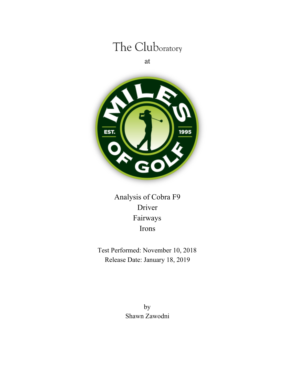# The Cluboratory

at



Analysis of Cobra F9 Driver Fairways Irons

Test Performed: November 10, 2018 Release Date: January 18, 2019

> by Shawn Zawodni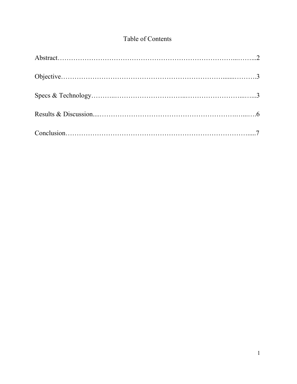## Table of Contents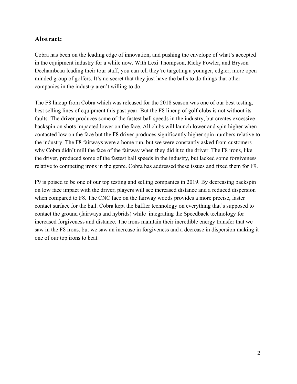#### **Abstract:**

Cobra has been on the leading edge of innovation, and pushing the envelope of what's accepted in the equipment industry for a while now. With Lexi Thompson, Ricky Fowler, and Bryson Dechambeau leading their tour staff, you can tell they're targeting a younger, edgier, more open minded group of golfers. It's no secret that they just have the balls to do things that other companies in the industry aren't willing to do.

The F8 lineup from Cobra which was released for the 2018 season was one of our best testing, best selling lines of equipment this past year. But the F8 lineup of golf clubs is not without its faults. The driver produces some of the fastest ball speeds in the industry, but creates excessive backspin on shots impacted lower on the face. All clubs will launch lower and spin higher when contacted low on the face but the F8 driver produces significantly higher spin numbers relative to the industry. The F8 fairways were a home run, but we were constantly asked from customers why Cobra didn't mill the face of the fairway when they did it to the driver. The F8 irons, like the driver, produced some of the fastest ball speeds in the industry, but lacked some forgiveness relative to competing irons in the genre. Cobra has addressed these issues and fixed them for F9.

F9 is poised to be one of our top testing and selling companies in 2019. By decreasing backspin on low face impact with the driver, players will see increased distance and a reduced dispersion when compared to F8. The CNC face on the fairway woods provides a more precise, faster contact surface for the ball. Cobra kept the baffler technology on everything that's supposed to contact the ground (fairways and hybrids) while integrating the Speedback technology for increased forgiveness and distance. The irons maintain their incredible energy transfer that we saw in the F8 irons, but we saw an increase in forgiveness and a decrease in dispersion making it one of our top irons to beat.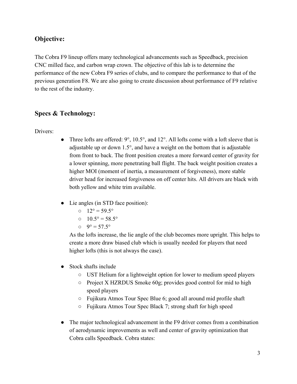### **Objective:**

The Cobra F9 lineup offers many technological advancements such as Speedback, precision CNC milled face, and carbon wrap crown. The objective of this lab is to determine the performance of the new Cobra F9 series of clubs, and to compare the performance to that of the previous generation F8. We are also going to create discussion about performance of F9 relative to the rest of the industry.

### **Specs & Technology:**

Drivers:

- Three lofts are offered:  $9^\circ$ ,  $10.5^\circ$ , and  $12^\circ$ . All lofts come with a loft sleeve that is adjustable up or down 1.5°, and have a weight on the bottom that is adjustable from front to back. The front position creates a more forward center of gravity for a lower spinning, more penetrating ball flight. The back weight position creates a higher MOI (moment of inertia, a measurement of forgiveness), more stable driver head for increased forgiveness on off center hits. All drivers are black with both yellow and white trim available.
- Lie angles (in STD face position):
	- $0 \quad 12^{\circ} = 59.5^{\circ}$
	- $0.5^\circ = 58.5^\circ$
	- $9^\circ = 57.5^\circ$

As the lofts increase, the lie angle of the club becomes more upright. This helps to create a more draw biased club which is usually needed for players that need higher lofts (this is not always the case).

- Stock shafts include
	- UST Helium for a lightweight option for lower to medium speed players
	- Project X HZRDUS Smoke 60g; provides good control for mid to high speed players
	- Fujikura Atmos Tour Spec Blue 6; good all around mid profile shaft
	- Fujikura Atmos Tour Spec Black 7; strong shaft for high speed
- The major technological advancement in the F9 driver comes from a combination of aerodynamic improvements as well and center of gravity optimization that Cobra calls Speedback. Cobra states: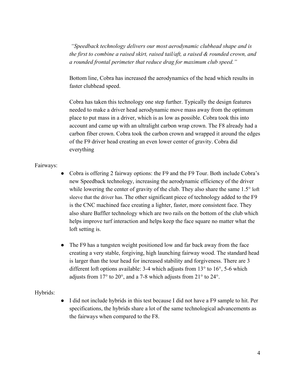*"Speedback technology delivers our most aerodynamic clubhead shape and is the first to combine a raised skirt, raised tail/aft, a raised & rounded crown, and a rounded frontal perimeter that reduce drag for maximum club speed."*

Bottom line, Cobra has increased the aerodynamics of the head which results in faster clubhead speed.

Cobra has taken this technology one step further. Typically the design features needed to make a driver head aerodynamic move mass away from the optimum place to put mass in a driver, which is as low as possible. Cobra took this into account and came up with an ultralight carbon wrap crown. The F8 already had a carbon fiber crown. Cobra took the carbon crown and wrapped it around the edges of the F9 driver head creating an even lower center of gravity. Cobra did everything

#### Fairways:

- Cobra is offering 2 fairway options: the F9 and the F9 Tour. Both include Cobra's new Speedback technology, increasing the aerodynamic efficiency of the driver while lowering the center of gravity of the club. They also share the same 1.5° loft sleeve that the driver has. The other significant piece of technology added to the F9 is the CNC machined face creating a lighter, faster, more consistent face. They also share Baffler technology which are two rails on the bottom of the club which helps improve turf interaction and helps keep the face square no matter what the loft setting is.
- The F9 has a tungsten weight positioned low and far back away from the face creating a very stable, forgiving, high launching fairway wood. The standard head is larger than the tour head for increased stability and forgiveness. There are 3 different loft options available: 3-4 which adjusts from 13° to 16°, 5-6 which adjusts from 17° to 20°, and a 7-8 which adjusts from 21° to 24°.

#### Hybrids:

● I did not include hybrids in this test because I did not have a F9 sample to hit. Per specifications, the hybrids share a lot of the same technological advancements as the fairways when compared to the F8.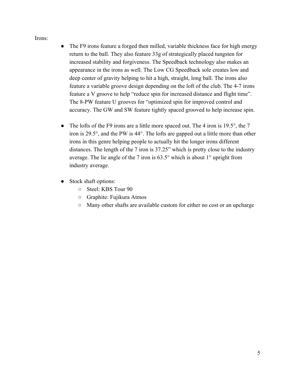Irons:

- The F9 irons feature a forged then milled, variable thickness face for high energy return to the ball. They also feature 33g of strategically placed tungsten for increased stability and forgiveness. The Speedback technology also makes an appearance in the irons as well. The Low CG Speedback sole creates low and deep center of gravity helping to hit a high, straight, long ball. The irons also feature a variable groove design depending on the loft of the club. The 4-7 irons feature a V groove to help "reduce spin for increased distance and flight time". The 8-PW feature U grooves for "optimized spin for improved control and accuracy. The GW and SW feature tightly spaced grooved to help increase spin.
- The lofts of the F9 irons are a little more spaced out. The 4 iron is 19.5°, the 7 iron is 29.5°, and the PW is 44°. The lofts are gapped out a little more than other irons in this genre helping people to actually hit the longer irons different distances. The length of the 7 iron is 37.25" which is pretty close to the industry average. The lie angle of the 7 iron is 63.5° which is about 1° upright from industry average.
- Stock shaft options:
	- Steel: KBS Tour 90
	- Graphite: Fujikura Atmos
	- Many other shafts are available custom for either no cost or an upcharge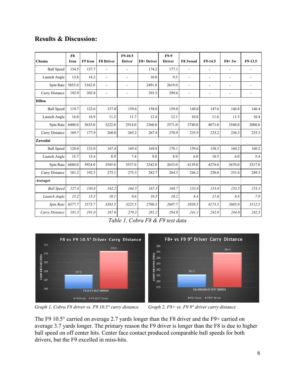|                        | F8     |         |                          | F9-10.5                  |            | <b>F9-9</b>   |          |                          |                |                          |
|------------------------|--------|---------|--------------------------|--------------------------|------------|---------------|----------|--------------------------|----------------|--------------------------|
| Choma                  | Iron   | F9 Iron | <b>F8 Driver</b>         | <b>Driver</b>            | F8+ Driver | <b>Driver</b> | F8 3wood | F9-14.5                  | $FA+3w$        | $F9-13.5$                |
| <b>Ball Speed</b>      | 134.5  | 137.7   |                          | $\blacksquare$           | 174.2      | 177.1         |          | $\blacksquare$           | $\blacksquare$ | $\overline{a}$           |
| Launch Angle           | 13.8   | 14.2    | $\overline{\phantom{a}}$ | $\overline{\phantom{a}}$ | 10.0       | 9.5           | L.       | $\overline{\phantom{a}}$ | $\blacksquare$ | $\overline{\phantom{a}}$ |
| Spin Rate              | 5853.0 | 5162.0  | ۰                        | $\overline{\phantom{a}}$ | 2491.0     | 2619.0        | ÷.       | $\overline{\phantom{a}}$ | $\blacksquare$ | $\blacksquare$           |
| Carry Distance         | 192.9  | 202.8   | ÷.                       | $\overline{\phantom{a}}$ | 293.5      | 299.6         | L.       | $\overline{a}$           | $\blacksquare$ | $\overline{a}$           |
| <b>Dillon</b>          |        |         |                          |                          |            |               |          |                          |                |                          |
| <b>Ball Speed</b>      | 119.7  | 122.6   | 157.0                    | 159.6                    | 158.0      | 159.0         | 148.0    | 147.6                    | 146.8          | 146.4                    |
| Launch Angle           | 16.0   | 16.9    | 11.2                     | 11.7                     | 12.4       | 12.1          | 10.8     | 11.6                     | 11.5           | 10.4                     |
| Spin Rate              | 6400.0 | 5635.0  | 3222.0                   | 2914.0                   | 2368.0     | 2571.0        | 3740.0   | 4073.0                   | 3540.0         | 3008.0                   |
| Carry Distance         | 169.7  | 177.9   | 260.0                    | 265.2                    | 267.4      | 270.9         | 235.9    | 233.2                    | 236.3          | 235.3                    |
| Zawodni                |        |         |                          |                          |            |               |          |                          |                |                          |
| <b>Ball Speed</b>      | 128.0  | 132.0   | 167.4                    | 169.4                    | 169.8      | 170.1         | 159.6    | 158.3                    | 160.2          | 160.2                    |
| Launch Angle           | 15.7   | 15.4    | 8.9                      | 7.4                      | 9.0        | 8.9           | 6.0      | 10.3                     | 6.0            | 5.4                      |
| Spin Rate              | 6880.0 | 5924.0  | 3545.0                   | 3537.0                   | 3242.0     | 2633.0        | 4139.0   | 4274.0                   | 3670.0         | 3217.0                   |
| Carry Distance         | 181.2  | 192.3   | 275.1                    | 275.3                    | 282.7      | 284.3         | 246.2    | 250.8                    | 251.6          | 249.3                    |
| <i><b>Averages</b></i> |        |         |                          |                          |            |               |          |                          |                |                          |
| <b>Ball Speed</b>      | 127.4  | 130.8   | 162.2                    | 164.5                    | 167.3      | 168.7         | 153.8    | 153.0                    | 153.5          | 153.3                    |
| Launch Angle           | 15.2   | 15.5    | 10.1                     | 9.6                      | 10.5       | 10.2          | 8.4      | 11.0                     | 8.8            | 7.9                      |
| Spin Rate              | 6377.7 | 5573.7  | 3383.5                   | 3225.5                   | 2700.3     | 2607.7        | 3939.5   | 4173.5                   | 3605.0         | 3112.5                   |
| Carry Distance         | 181.3  | 191.0   | 267.6                    | 270.3                    | 281.2      | 284.9         | 241.1    | 242.0                    | 244.0          | 242.3                    |

### **Results & Discussion:**

*Table 1, Cobra F8 & F9 test data*



Graph 1, Cobra F8 driver vs. F9 10.5° carry distance Graph 2, F8+ vs. F9 9° driver carry distance

The F9 10.5° carried on average 2.7 yards longer than the F8 driver and the F9+ carried on average 3.7 yards longer. The primary reason the F9 driver is longer than the F8 is due to higher ball speed on off center hits. Center face contact produced comparable ball speeds for both drivers, but the F9 excelled in miss-hits.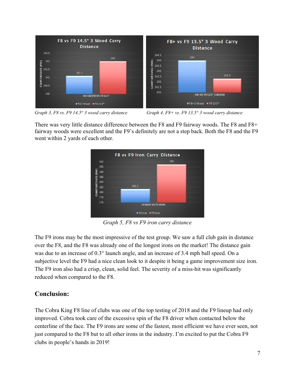

Graph 3, F8 vs. F9 14.5° 3 wood carry distance Graph 4, F8+ vs. F9 13.5° 3 wood carry distance

There was very little distance difference between the F8 and F9 fairway woods. The F8 and F8+ fairway woods were excellent and the F9's definitely are not a step back. Both the F8 and the F9 went within 2 yards of each other.



*Graph 5, F8 vs F9 iron carry distance*

The F9 irons may be the most impressive of the test group. We saw a full club gain in distance over the F8, and the F8 was already one of the longest irons on the market! The distance gain was due to an increase of 0.3° launch angle, and an increase of 3.4 mph ball speed. On a subjective level the F9 had a nice clean look to it despite it being a game improvement size iron. The F9 iron also had a crisp, clean, solid feel. The severity of a miss-hit was significantly reduced when compared to the F8.

## **Conclusion:**

The Cobra King F8 line of clubs was one of the top testing of 2018 and the F9 lineup had only improved. Cobra took care of the excessive spin of the F8 driver when contacted below the centerline of the face. The F9 irons are some of the fastest, most efficient we have ever seen, not just compared to the F8 but to all other irons in the industry. I'm excited to put the Cobra F9 clubs in people's hands in 2019!